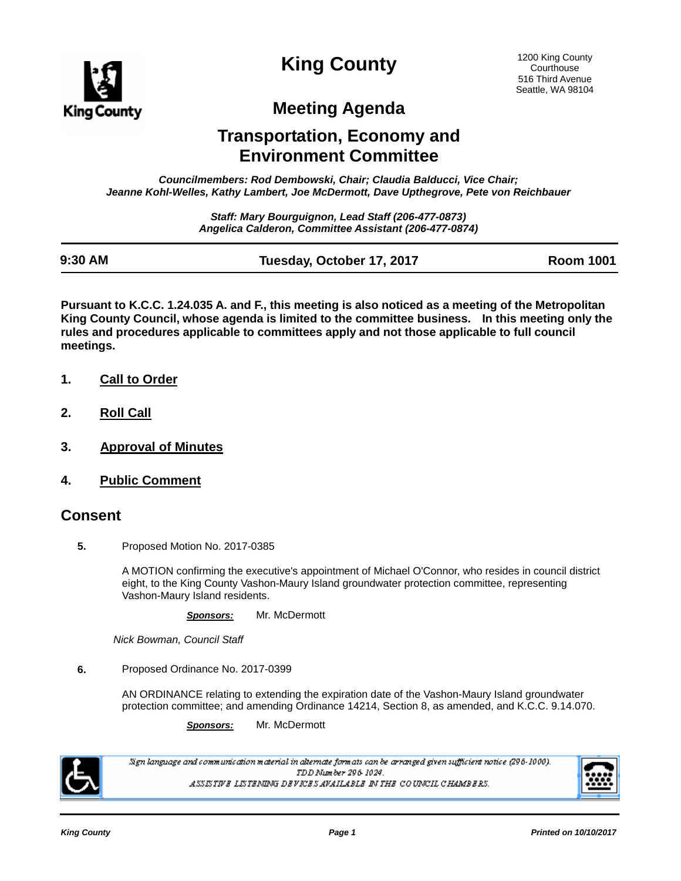

**King County**

# **Meeting Agenda**

# **Transportation, Economy and Environment Committee**

*Councilmembers: Rod Dembowski, Chair; Claudia Balducci, Vice Chair; Jeanne Kohl-Welles, Kathy Lambert, Joe McDermott, Dave Upthegrove, Pete von Reichbauer*

> *Staff: Mary Bourguignon, Lead Staff (206-477-0873) Angelica Calderon, Committee Assistant (206-477-0874)*

| 9:30 AM | Tuesday, October 17, 2017 | <b>Room 1001</b> |
|---------|---------------------------|------------------|

**Pursuant to K.C.C. 1.24.035 A. and F., this meeting is also noticed as a meeting of the Metropolitan King County Council, whose agenda is limited to the committee business. In this meeting only the rules and procedures applicable to committees apply and not those applicable to full council meetings.**

- **1. Call to Order**
- **2. Roll Call**
- **3. Approval of Minutes**
- **4. Public Comment**

#### **Consent**

**5.** Proposed Motion No. 2017-0385

A MOTION confirming the executive's appointment of Michael O'Connor, who resides in council district eight, to the King County Vashon-Maury Island groundwater protection committee, representing Vashon-Maury Island residents.

*Sponsors:* Mr. McDermott

*Nick Bowman, Council Staff*

**6.** Proposed Ordinance No. 2017-0399

AN ORDINANCE relating to extending the expiration date of the Vashon-Maury Island groundwater protection committee; and amending Ordinance 14214, Section 8, as amended, and K.C.C. 9.14.070.

*Sponsors:* Mr. McDermott



.<br>Sign language and communication material in alternate formats can be arranged given sufficient notice (296-1000). TDD Number 296-1024. ASSISTIVE LISTENING DEVICES AVAILABLE IN THE COUNCIL CHAMBERS.

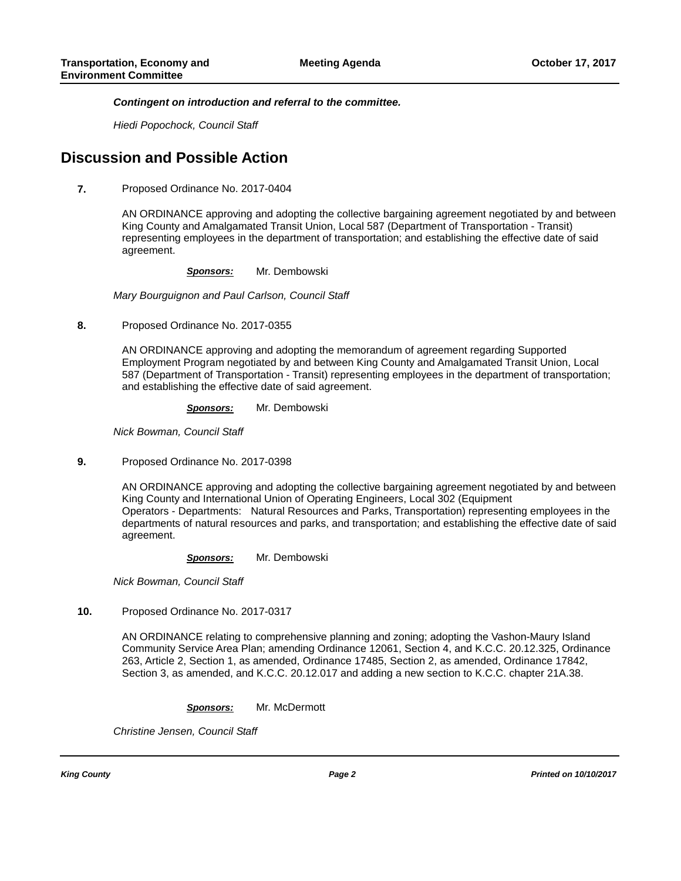*Contingent on introduction and referral to the committee.*

*Hiedi Popochock, Council Staff*

### **Discussion and Possible Action**

**7.** Proposed Ordinance No. 2017-0404

AN ORDINANCE approving and adopting the collective bargaining agreement negotiated by and between King County and Amalgamated Transit Union, Local 587 (Department of Transportation - Transit) representing employees in the department of transportation; and establishing the effective date of said agreement.

*Sponsors:* Mr. Dembowski

*Mary Bourguignon and Paul Carlson, Council Staff*

**8.** Proposed Ordinance No. 2017-0355

AN ORDINANCE approving and adopting the memorandum of agreement regarding Supported Employment Program negotiated by and between King County and Amalgamated Transit Union, Local 587 (Department of Transportation - Transit) representing employees in the department of transportation; and establishing the effective date of said agreement.

*Sponsors:* Mr. Dembowski

*Nick Bowman, Council Staff*

**9.** Proposed Ordinance No. 2017-0398

AN ORDINANCE approving and adopting the collective bargaining agreement negotiated by and between King County and International Union of Operating Engineers, Local 302 (Equipment Operators - Departments: Natural Resources and Parks, Transportation) representing employees in the departments of natural resources and parks, and transportation; and establishing the effective date of said agreement.

*Sponsors:* Mr. Dembowski

*Nick Bowman, Council Staff*

**10.** Proposed Ordinance No. 2017-0317

AN ORDINANCE relating to comprehensive planning and zoning; adopting the Vashon-Maury Island Community Service Area Plan; amending Ordinance 12061, Section 4, and K.C.C. 20.12.325, Ordinance 263, Article 2, Section 1, as amended, Ordinance 17485, Section 2, as amended, Ordinance 17842, Section 3, as amended, and K.C.C. 20.12.017 and adding a new section to K.C.C. chapter 21A.38.

*Sponsors:* Mr. McDermott

*Christine Jensen, Council Staff*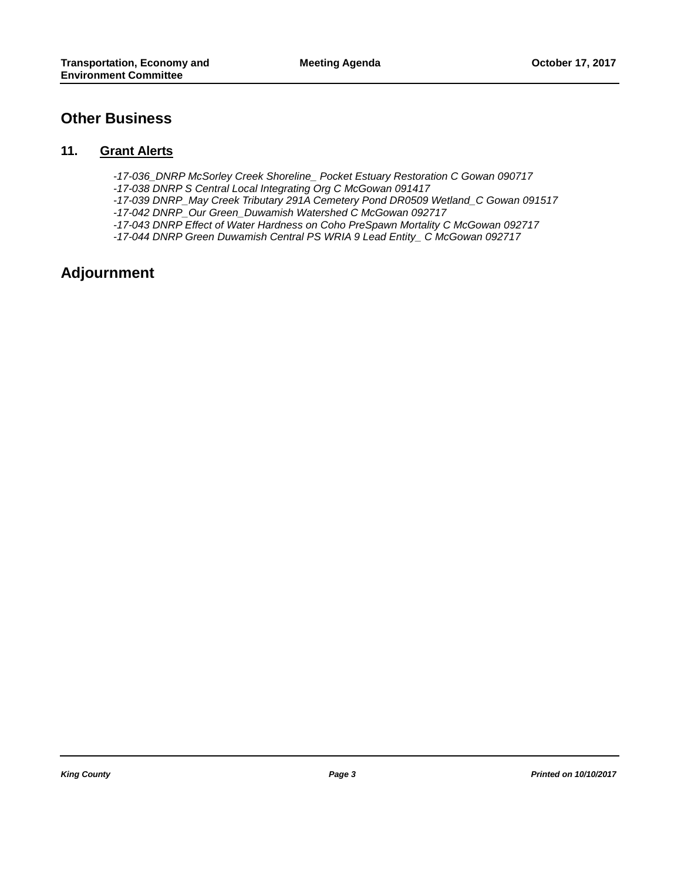### **Other Business**

#### **11. Grant Alerts**

- *-17-036\_DNRP McSorley Creek Shoreline\_ Pocket Estuary Restoration C Gowan 090717*
- *-17-038 DNRP S Central Local Integrating Org C McGowan 091417*
- *-17-039 DNRP\_May Creek Tributary 291A Cemetery Pond DR0509 Wetland\_C Gowan 091517*
- *-17-042 DNRP\_Our Green\_Duwamish Watershed C McGowan 092717*
- *-17-043 DNRP Effect of Water Hardness on Coho PreSpawn Mortality C McGowan 092717*
- *-17-044 DNRP Green Duwamish Central PS WRIA 9 Lead Entity\_ C McGowan 092717*

## **Adjournment**